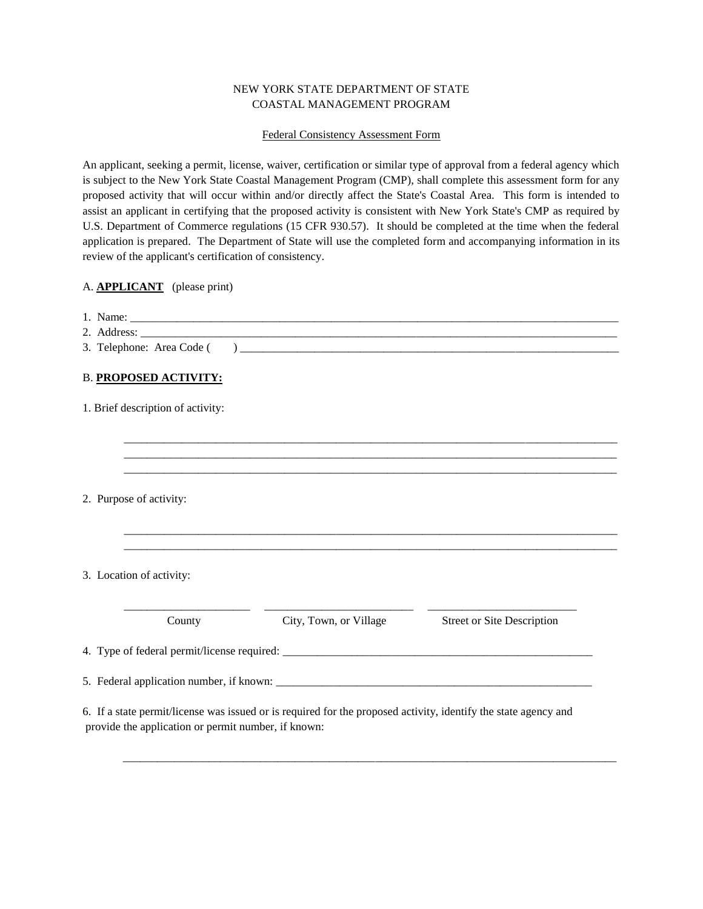# NEW YORK STATE DEPARTMENT OF STATE COASTAL MANAGEMENT PROGRAM

### Federal Consistency Assessment Form

An applicant, seeking a permit, license, waiver, certification or similar type of approval from a federal agency which is subject to the New York State Coastal Management Program (CMP), shall complete this assessment form for any proposed activity that will occur within and/or directly affect the State's Coastal Area. This form is intended to assist an applicant in certifying that the proposed activity is consistent with New York State's CMP as required by U.S. Department of Commerce regulations (15 CFR 930.57). It should be completed at the time when the federal application is prepared. The Department of State will use the completed form and accompanying information in its review of the applicant's certification of consistency.

## A. **APPLICANT** (please print)

| 3. Telephone: Area Code (                                                                                                                                              |  |  |  |
|------------------------------------------------------------------------------------------------------------------------------------------------------------------------|--|--|--|
| <b>B. PROPOSED ACTIVITY:</b>                                                                                                                                           |  |  |  |
| 1. Brief description of activity:                                                                                                                                      |  |  |  |
|                                                                                                                                                                        |  |  |  |
|                                                                                                                                                                        |  |  |  |
|                                                                                                                                                                        |  |  |  |
|                                                                                                                                                                        |  |  |  |
| 2. Purpose of activity:                                                                                                                                                |  |  |  |
|                                                                                                                                                                        |  |  |  |
| 3. Location of activity:                                                                                                                                               |  |  |  |
| County<br>City, Town, or Village<br><b>Street or Site Description</b>                                                                                                  |  |  |  |
|                                                                                                                                                                        |  |  |  |
|                                                                                                                                                                        |  |  |  |
| 6. If a state permit/license was issued or is required for the proposed activity, identify the state agency and<br>provide the application or permit number, if known: |  |  |  |

 $\overline{\phantom{a}}$  , and the contribution of the contribution of the contribution of the contribution of the contribution of the contribution of the contribution of the contribution of the contribution of the contribution of the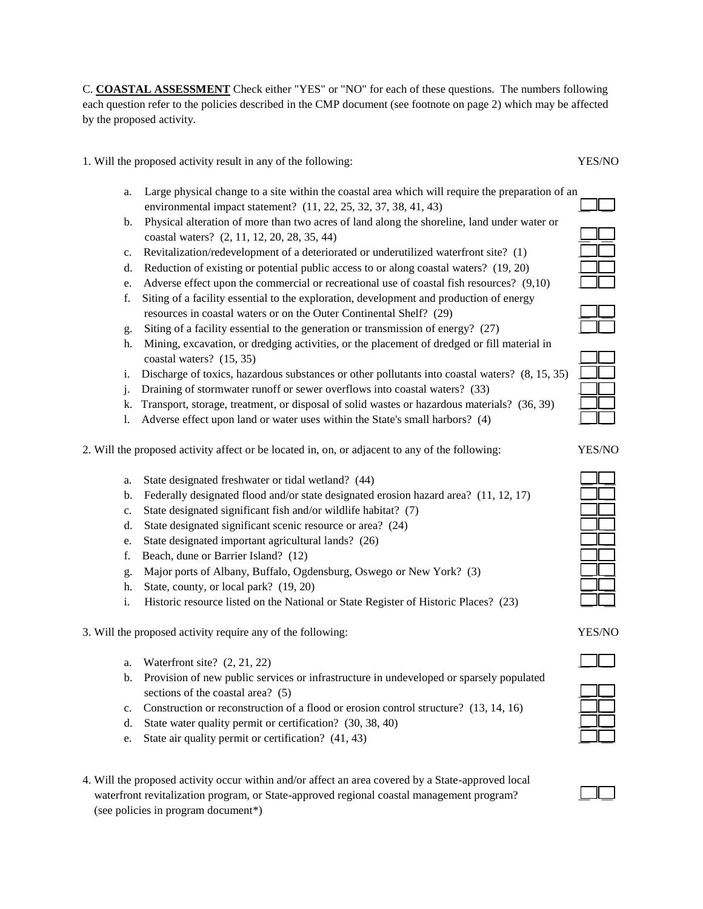C. **COASTAL ASSESSMENT** Check either "YES" or "NO" for each of these questions. The numbers following each question refer to the policies described in the CMP document (see footnote on page 2) which may be affected by the proposed activity.

1. Will the proposed activity result in any of the following: YES/NO

- a. Large physical change to a site within the coastal area which will require the preparation of an environmental impact statement?  $(11, 22, 25, 32, 37, 38, 41, 43)$
- b. Physical alteration of more than two acres of land along the shoreline, land under water or coastal waters? (2, 11, 12, 20, 28, 35, 44) \_\_ \_\_
- c. Revitalization/redevelopment of a deteriorated or underutilized waterfront site? (1)
- d. Reduction of existing or potential public access to or along coastal waters?  $(19, 20)$
- e. Adverse effect upon the commercial or recreational use of coastal fish resources?  $(9,10)$
- f. Siting of a facility essential to the exploration, development and production of energy resources in coastal waters or on the Outer Continental Shelf? (29)
- g. Siting of a facility essential to the generation or transmission of energy? (27)
- h. Mining, excavation, or dredging activities, or the placement of dredged or fill material in coastal waters?  $(15, 35)$
- i. Discharge of toxics, hazardous substances or other pollutants into coastal waters?  $(8, 15, 35)$
- j. Draining of stormwater runoff or sewer overflows into coastal waters? (33)
- k. Transport, storage, treatment, or disposal of solid wastes or hazardous materials? (36, 39)
- l. Adverse effect upon land or water uses within the State's small harbors? (4)
- 2. Will the proposed activity affect or be located in, on, or adjacent to any of the following:
	- a. State designated freshwater or tidal wetland? (44)
	- b. Federally designated flood and/or state designated erosion hazard area?  $(11, 12, 17)$
	- c. State designated significant fish and/or wildlife habitat? (7)
	- d. State designated significant scenic resource or area?  $(24)$
	- e. State designated important agricultural lands? (26)
	- f. Beach, dune or Barrier Island?  $(12)$
	- g. Major ports of Albany, Buffalo, Ogdensburg, Oswego or New York? (3) \_\_ \_\_
	- h. State, county, or local park? (19, 20)
	- i. Historic resource listed on the National or State Register of Historic Places? (23)
- 3. Will the proposed activity require any of the following: YES/NO
	- a. Waterfront site?  $(2, 21, 22)$
	- b. Provision of new public services or infrastructure in undeveloped or sparsely populated sections of the coastal area?  $(5)$
	- c. Construction or reconstruction of a flood or erosion control structure? (13, 14, 16)
	- d. State water quality permit or certification?  $(30, 38, 40)$
	- e. State air quality permit or certification?  $(41, 43)$
- 4. Will the proposed activity occur within and/or affect an area covered by a State-approved local waterfront revitalization program, or State-approved regional coastal management program? (see policies in program document\*)



| YES/NO |  |  |
|--------|--|--|